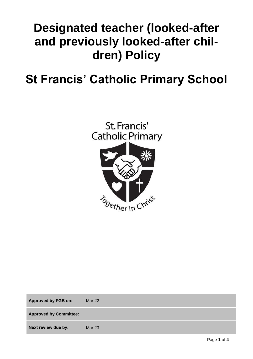# **Designated teacher (looked-after and previously looked-after children) Policy**

## **St Francis' Catholic Primary School**



| <b>Approved by FGB on:</b>    | <b>Mar 22</b> |
|-------------------------------|---------------|
| <b>Approved by Committee:</b> |               |
| Next review due by:           | <b>Mar 23</b> |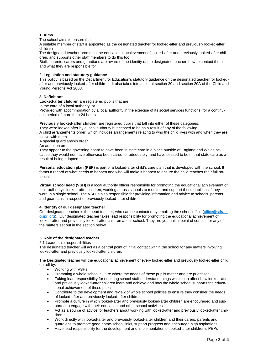### **1. Aims**

The school aims to ensure that:

A suitable member of staff is appointed as the designated teacher for looked-after and previously looked-after children

The designated teacher promotes the educational achievement of looked-after and previously looked-after children, and supports other staff members to do this too

Staff, parents, carers and guardians are aware of the identity of the designated teacher, how to contact them and what they are responsible for

#### **2. Legislation and statutory guidance**

This policy is based on the Department for Education's [statutory guidance on the designated teacher for looked](https://www.gov.uk/government/publications/designated-teacher-for-looked-after-children)[after and previously looked-after children.](https://www.gov.uk/government/publications/designated-teacher-for-looked-after-children) It also takes into account [section 20](http://www.legislation.gov.uk/ukpga/2008/23/section/20) an[d section 20A](http://www.legislation.gov.uk/ukpga/2008/23/section/20A) of the Child and Young Persons Act 2008.

#### **3. Definitions**

**Looked-after children** are registered pupils that are:

In the care of a local authority, or

Provided with accommodation by a local authority in the exercise of its social services functions, for a continuous period of more than 24 hours

#### **Previously looked-after children** are registered pupils that fall into either of these categories:

They were looked after by a local authority but ceased to be as a result of any of the following:

A child arrangements order, which includes arrangements relating to who the child lives with and when they are to live with them

A special guardianship order

An adoption order

They appear to the governing board to have been in state care in a place outside of England and Wales because they would not have otherwise been cared for adequately, and have ceased to be in that state care as a result of being adopted

**Personal education plan (PEP)** is part of a looked-after child's care plan that is developed with the school. It forms a record of what needs to happen and who will make it happen to ensure the child reaches their full potential.

**Virtual school head (VSH)** is a local authority officer responsible for promoting the educational achievement of their authority's looked-after children, working across schools to monitor and support these pupils as if they were in a single school. The VSH is also responsible for providing information and advice to schools, parents and guardians in respect of previously looked-after children.

#### **4. Identity of our designated teacher**

Our designated teacher is the head teacher, who can be contacted by emailing the school office [\(office@stfran](mailto:office@stfrancispri.org)[cispri.org\)](mailto:office@stfrancispri.org). Our designated teacher takes lead responsibility for promoting the educational achievement of looked-after and previously looked-after children at our school. They are your initial point of contact for any of the matters set out in the section below.

#### **5. Role of the designated teacher**

#### 5.1 Leadership responsibilities

The designated teacher will act as a central point of initial contact within the school for any matters involving looked-after and previously looked-after children.

The Designated teacher will the educational achievement of every looked-after and previously looked-after child on roll by:

- Working with VSHs
- Promoting a whole school culture where the needs of these pupils matter and are prioritised
- Taking lead responsibility for ensuring school staff understand things which can affect how looked-after and previously looked-after children learn and achieve and how the whole school supports the educational achievement of these pupils
- Contribute to the development and review of whole school policies to ensure they consider the needs of looked-after and previously looked-after children
- Promote a culture in which looked-after and previously looked-after children are encouraged and supported to engage with their education and other school activities
- Act as a source of advice for teachers about working with looked-after and previously looked-after children
- Work directly with looked-after and previously looked-after children and their carers, parents and guardians to promote good home-school links, support progress and encourage high aspirations
- Have lead responsibility for the development and implementation of looked-after children's PEPs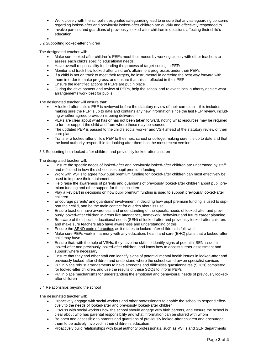- Work closely with the school's designated safeguarding lead to ensure that any safeguarding concerns regarding looked-after and previously looked-after children are quickly and effectively responded to
- Involve parents and guardians of previously looked-after children in decisions affecting their child's education
- $\bullet$

5.2 Supporting looked-after children

The designated teacher will:

- Make sure looked-after children's PEPs meet their needs by working closely with other teachers to assess each child's specific educational needs
- Have overall responsibility for leading the process of target-setting in PEPs
- Monitor and track how looked-after children's attainment progresses under their PEPs
- If a child is not on track to meet their targets, be instrumental in agreeing the best way forward with them in order to make progress, and ensure that this is reflected in their PEP
- Ensure the identified actions of PEPs are put in place
- During the development and review of PEPs, help the school and relevant local authority decide what arrangements work best for pupils

The designated teacher will ensure that:

- A looked-after child's PEP is reviewed before the statutory review of their care plan this includes making sure the PEP is up to date and contains any new information since the last PEP review, including whether agreed provision is being delivered
- PEPs are clear about what has or has not been taken forward, noting what resources may be required to further support the child and from where these may be sourced
- The updated PEP is passed to the child's social worker and VSH ahead of the statutory review of their care plan
- Transfer a looked-after child's PEP to their next school or college, making sure it is up to date and that the local authority responsible for looking after them has the most recent version

5.3 Supporting both looked-after children and previously looked-after children

The designated teacher will:

- Ensure the specific needs of looked-after and previously looked-after children are understood by staff and reflected in how the school uses pupil premium funding
- Work with VSHs to agree how pupil premium funding for looked-after children can most effectively be used to improve their attainment
- Help raise the awareness of parents and guardians of previously looked-after children about pupil premium funding and other support for these children
- Play a key part in decisions on how pupil premium funding is used to support previously looked-after children
- Encourage parents' and guardians' involvement in deciding how pupil premium funding is used to support their child, and be the main contact for queries about its use
- Ensure teachers have awareness and understanding of the specific needs of looked-after and previously looked-after children in areas like attendance, homework, behaviour and future career planning
- Be aware of the special educational needs (SEN) of looked-after and previously looked-after children, and make sure teachers also have awareness and understanding of this
- Ensure th[e SEND code of practice,](https://www.gov.uk/government/publications/send-code-of-practice-0-to-25) as it relates to looked-after children, is followed
- Make sure PEPs work in harmony with any education, health and care (EHC) plans that a looked-after child may have
- Ensure that, with the help of VSHs, they have the skills to identify signs of potential SEN issues in looked-after and previously looked-after children, and know how to access further assessment and support where necessary
- Ensure that they and other staff can identify signs of potential mental health issues in looked-after and previously looked-after children and understand where the school can draw on specialist services
- Put in place robust arrangements to have strengths and difficulties questionnaires (SDQs) completed for looked-after children, and use the results of these SDQs to inform PEPs
- Put in place mechanisms for understanding the emotional and behavioural needs of previously lookedafter children

## 5.4 Relationships beyond the school

The designated teacher will:

- Proactively engage with social workers and other professionals to enable the school to respond effectively to the needs of looked-after and previously looked-after children
- Discuss with social workers how the school should engage with birth parents, and ensure the school is clear about who has parental responsibility and what information can be shared with whom
- Be open and accessible to parents and guardians of previously looked-after children and encourage them to be actively involved in their children's education
- Proactively build relationships with local authority professionals, such as VSHs and SEN departments